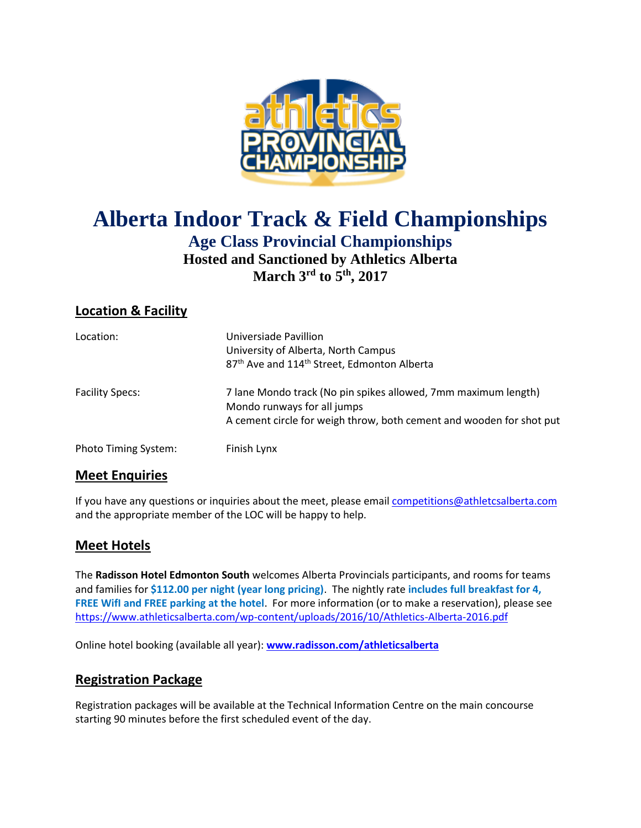

# **Alberta Indoor Track & Field Championships Age Class Provincial Championships Hosted and Sanctioned by Athletics Alberta March 3rd to 5th, 2017**

# **Location & Facility**

| Location:                   | Universiade Pavillion<br>University of Alberta, North Campus<br>87 <sup>th</sup> Ave and 114 <sup>th</sup> Street, Edmonton Alberta                                   |
|-----------------------------|-----------------------------------------------------------------------------------------------------------------------------------------------------------------------|
| <b>Facility Specs:</b>      | 7 lane Mondo track (No pin spikes allowed, 7mm maximum length)<br>Mondo runways for all jumps<br>A cement circle for weigh throw, both cement and wooden for shot put |
| <b>Photo Timing System:</b> | Finish Lynx                                                                                                                                                           |

#### **Meet Enquiries**

If you have any questions or inquiries about the meet, please emai[l competitions@athletcsalberta.com](mailto:competitions@athletcsalberta.com) and the appropriate member of the LOC will be happy to help.

#### **Meet Hotels**

The **Radisson Hotel Edmonton South** welcomes Alberta Provincials participants, and rooms for teams and families for **\$112.00 per night (year long pricing)**. The nightly rate **includes full breakfast for 4, FREE WifI and FREE parking at the hotel**. For more information (or to make a reservation), please see <https://www.athleticsalberta.com/wp-content/uploads/2016/10/Athletics-Alberta-2016.pdf>

Online hotel booking (available all year): **[www.radisson.com/athleticsalberta](file:///C:/tfmeets5/AIG/2017/www.radisson.com/athleticsalberta)**

#### **Registration Package**

Registration packages will be available at the Technical Information Centre on the main concourse starting 90 minutes before the first scheduled event of the day.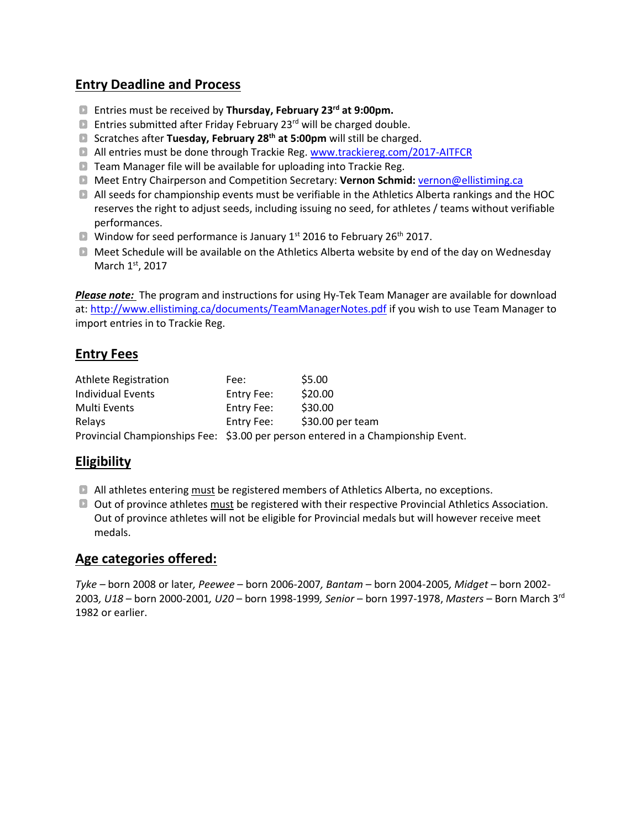### **Entry Deadline and Process**

- Entries must be received by **Thursday, February 23rd at 9:00pm.**
- **E** Entries submitted after Friday February 23<sup>rd</sup> will be charged double.
- Scratches after **Tuesday, February 28th at 5:00pm** will still be charged.
- All entries must be done through Trackie Reg. [www.trackiereg.com/2017-AITFCR](http://www.trackiereg.com/2017-AITFCR)
- **D** Team Manager file will be available for uploading into Trackie Reg.
- Meet Entry Chairperson and Competition Secretary: **Vernon Schmid:** [vernon@ellistiming.ca](mailto:vernon@ellistiming.ca)
- All seeds for championship events must be verifiable in the Athletics Alberta rankings and the HOC reserves the right to adjust seeds, including issuing no seed, for athletes / teams without verifiable performances.
- **N** Window for seed performance is January  $1^{st}$  2016 to February 26<sup>th</sup> 2017.
- Meet Schedule will be available on the Athletics Alberta website by end of the day on Wednesday March 1st, 2017

*Please note:* The program and instructions for using Hy-Tek Team Manager are available for download at:<http://www.ellistiming.ca/documents/TeamManagerNotes.pdf> if you wish to use Team Manager to import entries in to Trackie Reg.

### **Entry Fees**

| <b>Athlete Registration</b> | Fee:                                                                             | \$5.00            |  |  |  |
|-----------------------------|----------------------------------------------------------------------------------|-------------------|--|--|--|
| <b>Individual Events</b>    | Entry Fee:                                                                       | \$20.00           |  |  |  |
| Multi Events                | Entry Fee:                                                                       | \$30.00           |  |  |  |
| Relays                      | Entry Fee:                                                                       | $$30.00$ per team |  |  |  |
|                             | Provincial Championships Fee: \$3.00 per person entered in a Championship Event. |                   |  |  |  |

### **Eligibility**

- All athletes entering must be registered members of Athletics Alberta, no exceptions.
- **D** Out of province athletes must be registered with their respective Provincial Athletics Association. Out of province athletes will not be eligible for Provincial medals but will however receive meet medals.

#### **Age categories offered:**

*Tyke –* born 2008 or later*, Peewee* – born 2006-2007*, Bantam* – born 2004-2005*, Midget* – born 2002- 2003*, U18* – born 2000-2001*, U20* – born 1998-1999*, Senior* – born 1997-1978, *Masters* – Born March 3rd 1982 or earlier.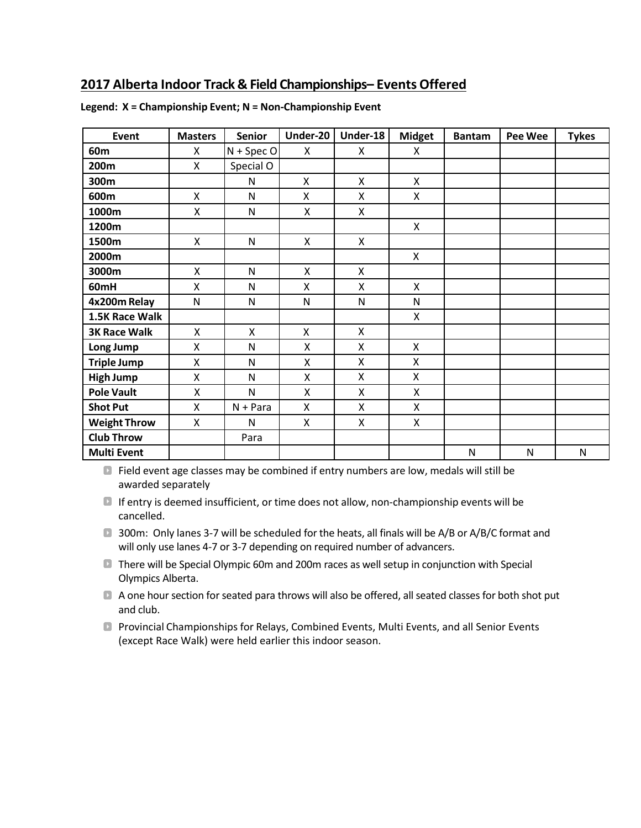### **2017 Alberta Indoor Track & Field Championships– Events Offered**

| Event               | <b>Masters</b> | <b>Senior</b> | Under-20                  | Under-18           | <b>Midget</b>  | <b>Bantam</b> | Pee Wee   | <b>Tykes</b> |
|---------------------|----------------|---------------|---------------------------|--------------------|----------------|---------------|-----------|--------------|
| 60m                 | X              | $N + Spec O$  | X                         | X                  | X              |               |           |              |
| 200m                | X              | Special O     |                           |                    |                |               |           |              |
| 300m                |                | N             | X                         | X                  | X              |               |           |              |
| 600m                | X              | N             | X                         | X                  | X              |               |           |              |
| 1000m               | Χ              | $\mathsf{N}$  | $\boldsymbol{\mathsf{X}}$ | $\pmb{\mathsf{X}}$ |                |               |           |              |
| 1200m               |                |               |                           |                    | $\mathsf{x}$   |               |           |              |
| 1500m               | X              | $\mathsf{N}$  | $\boldsymbol{\mathsf{X}}$ | X                  |                |               |           |              |
| 2000m               |                |               |                           |                    | X              |               |           |              |
| 3000m               | X              | N             | X                         | X                  |                |               |           |              |
| 60mH                | Χ              | N             | X                         | $\mathsf{x}$       | $\mathsf{x}$   |               |           |              |
| 4x200m Relay        | $\mathsf{N}$   | $\mathsf{N}$  | $\mathsf{N}$              | $\mathsf{N}$       | $\mathsf{N}$   |               |           |              |
| 1.5K Race Walk      |                |               |                           |                    | X              |               |           |              |
| <b>3K Race Walk</b> | X              | X             | X                         | $\mathsf{x}$       |                |               |           |              |
| Long Jump           | X              | $\mathsf{N}$  | Χ                         | X                  | X              |               |           |              |
| <b>Triple Jump</b>  | X              | N             | X                         | X                  | $\mathsf{x}$   |               |           |              |
| <b>High Jump</b>    | X              | $\mathsf{N}$  | Χ                         | $\mathsf{x}$       | X              |               |           |              |
| <b>Pole Vault</b>   | Χ              | $\mathsf{N}$  | Χ                         | X                  | $\pmb{\times}$ |               |           |              |
| <b>Shot Put</b>     | X              | $N + Para$    | X                         | X                  | X              |               |           |              |
| <b>Weight Throw</b> | X              | N             | X                         | X                  | X              |               |           |              |
| <b>Club Throw</b>   |                | Para          |                           |                    |                |               |           |              |
| <b>Multi Event</b>  |                |               |                           |                    |                | $\mathsf{N}$  | ${\sf N}$ | N            |

**Legend: X = Championship Event; N = Non-Championship Event**

Field event age classes may be combined if entry numbers are low, medals will still be awarded separately

 $\blacksquare$  If entry is deemed insufficient, or time does not allow, non-championship events will be cancelled.

**1300m:** Only lanes 3-7 will be scheduled for the heats, all finals will be A/B or A/B/C format and will only use lanes 4-7 or 3-7 depending on required number of advancers.

**There will be Special Olympic 60m and 200m races as well setup in conjunction with Special** Olympics Alberta.

A one hour section for seated para throws will also be offered, all seated classes for both shot put and club.

Provincial Championships for Relays, Combined Events, Multi Events, and all Senior Events (except Race Walk) were held earlier this indoor season.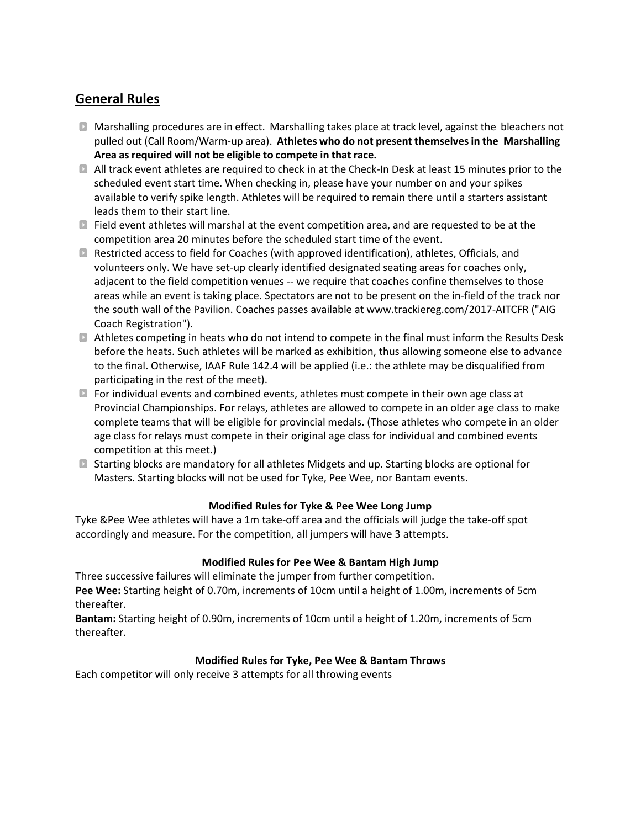# **General Rules**

- Marshalling procedures are in effect. Marshalling takes place at track level, against the bleachers not pulled out (Call Room/Warm‐up area). **Athletes who do not present themselvesin the Marshalling Area asrequired will not be eligible to compete in that race.**
- All track event athletes are required to check in at the Check‐In Desk at least 15 minutes prior to the scheduled event start time. When checking in, please have your number on and your spikes available to verify spike length. Athletes will be required to remain there until a starters assistant leads them to their start line.
- Field event athletes will marshal at the event competition area, and are requested to be at the competition area 20 minutes before the scheduled start time of the event.
- Restricted access to field for Coaches (with approved identification), athletes, Officials, and volunteers only. We have set‐up clearly identified designated seating areas for coaches only, adjacent to the field competition venues -- we require that coaches confine themselves to those areas while an event is taking place. Spectators are not to be present on the in‐field of the track nor the south wall of the Pavilion. Coaches passes available at www.trackiereg.com/2017-AITCFR ("AIG Coach Registration").
- Athletes competing in heats who do not intend to compete in the final must inform the Results Desk before the heats. Such athletes will be marked as exhibition, thus allowing someone else to advance to the final. Otherwise, IAAF Rule 142.4 will be applied (i.e.: the athlete may be disqualified from participating in the rest of the meet).
- **D** For individual events and combined events, athletes must compete in their own age class at Provincial Championships. For relays, athletes are allowed to compete in an older age class to make complete teams that will be eligible for provincial medals. (Those athletes who compete in an older age class for relays must compete in their original age class for individual and combined events competition at this meet.)
- Starting blocks are mandatory for all athletes Midgets and up. Starting blocks are optional for Masters. Starting blocks will not be used for Tyke, Pee Wee, nor Bantam events.

#### **Modified Rules for Tyke & Pee Wee Long Jump**

Tyke &Pee Wee athletes will have a 1m take-off area and the officials will judge the take-off spot accordingly and measure. For the competition, all jumpers will have 3 attempts.

#### **Modified Rules for Pee Wee & Bantam High Jump**

Three successive failures will eliminate the jumper from further competition. **Pee Wee:** Starting height of 0.70m, increments of 10cm until a height of 1.00m, increments of 5cm thereafter.

**Bantam:** Starting height of 0.90m, increments of 10cm until a height of 1.20m, increments of 5cm thereafter.

#### **Modified Rules for Tyke, Pee Wee & Bantam Throws**

Each competitor will only receive 3 attempts for all throwing events